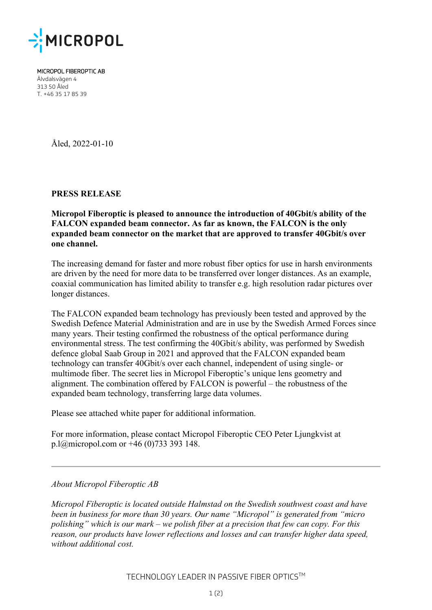

MICROPOL FIBEROPTIC AB Älvdalsvägen 4 313 50 Åled T. +46 35 17 85 39

Åled, 2022-01-10

**PRESS RELEASE**

**Micropol Fiberoptic is pleased to announce the introduction of 40Gbit/s ability of the FALCON expanded beam connector. As far as known, the FALCON is the only expanded beam connector on the market that are approved to transfer 40Gbit/s over one channel.** 

The increasing demand for faster and more robust fiber optics for use in harsh environments are driven by the need for more data to be transferred over longer distances. As an example, coaxial communication has limited ability to transfer e.g. high resolution radar pictures over longer distances.

The FALCON expanded beam technology has previously been tested and approved by the Swedish Defence Material Administration and are in use by the Swedish Armed Forces since many years. Their testing confirmed the robustness of the optical performance during environmental stress. The test confirming the 40Gbit/s ability, was performed by Swedish defence global Saab Group in 2021 and approved that the FALCON expanded beam technology can transfer 40Gbit/s over each channel, independent of using single- or multimode fiber. The secret lies in Micropol Fiberoptic's unique lens geometry and alignment. The combination offered by FALCON is powerful – the robustness of the expanded beam technology, transferring large data volumes.

Please see attached white paper for additional information.

For more information, please contact Micropol Fiberoptic CEO Peter Ljungkvist at p.l@micropol.com or +46 (0)733 393 148.

## *About Micropol Fiberoptic AB*

*Micropol Fiberoptic is located outside Halmstad on the Swedish southwest coast and have been in business for more than 30 years. Our name "Micropol" is generated from "micro polishing" which is our mark – we polish fiber at a precision that few can copy. For this reason, our products have lower reflections and losses and can transfer higher data speed, without additional cost.*